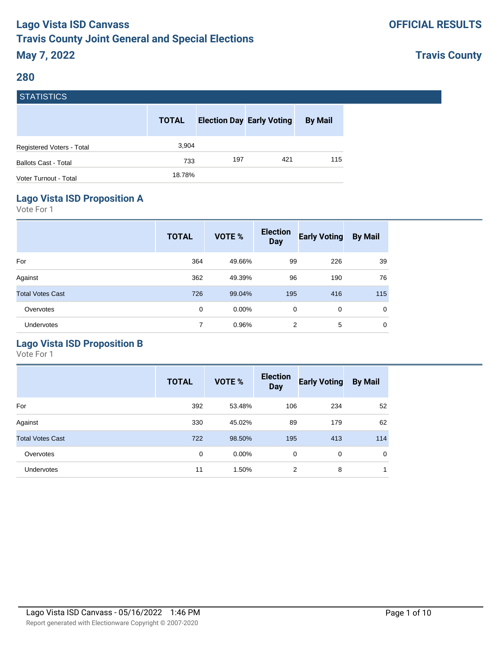### **OFFICIAL RESULTS**

## **Travis County**

#### **280**

**STATICTICS** 

| гэтанынсы                   |              |     |                                  |                |
|-----------------------------|--------------|-----|----------------------------------|----------------|
|                             | <b>TOTAL</b> |     | <b>Election Day Early Voting</b> | <b>By Mail</b> |
| Registered Voters - Total   | 3,904        |     |                                  |                |
| <b>Ballots Cast - Total</b> | 733          | 197 | 421                              | 115            |
| Voter Turnout - Total       | 18.78%       |     |                                  |                |
|                             |              |     |                                  |                |

### **Lago Vista ISD Proposition A**

Vote For 1

|                         | <b>TOTAL</b> | VOTE % | <b>Election</b><br><b>Day</b> | <b>Early Voting</b> | <b>By Mail</b> |
|-------------------------|--------------|--------|-------------------------------|---------------------|----------------|
| For                     | 364          | 49.66% | 99                            | 226                 | 39             |
| Against                 | 362          | 49.39% | 96                            | 190                 | 76             |
| <b>Total Votes Cast</b> | 726          | 99.04% | 195                           | 416                 | 115            |
| Overvotes               | 0            | 0.00%  | 0                             | $\mathbf 0$         | $\mathbf 0$    |
| <b>Undervotes</b>       | 7            | 0.96%  | 2                             | 5                   | $\mathbf 0$    |

## **Lago Vista ISD Proposition B**

|                         | <b>TOTAL</b> | <b>VOTE %</b> | <b>Election</b><br><b>Day</b> | <b>Early Voting</b> | <b>By Mail</b> |
|-------------------------|--------------|---------------|-------------------------------|---------------------|----------------|
| For                     | 392          | 53.48%        | 106                           | 234                 | 52             |
| Against                 | 330          | 45.02%        | 89                            | 179                 | 62             |
| <b>Total Votes Cast</b> | 722          | 98.50%        | 195                           | 413                 | 114            |
| Overvotes               | $\mathbf 0$  | $0.00\%$      | 0                             | 0                   | 0              |
| Undervotes              | 11           | 1.50%         | 2                             | 8                   | $\mathbf 1$    |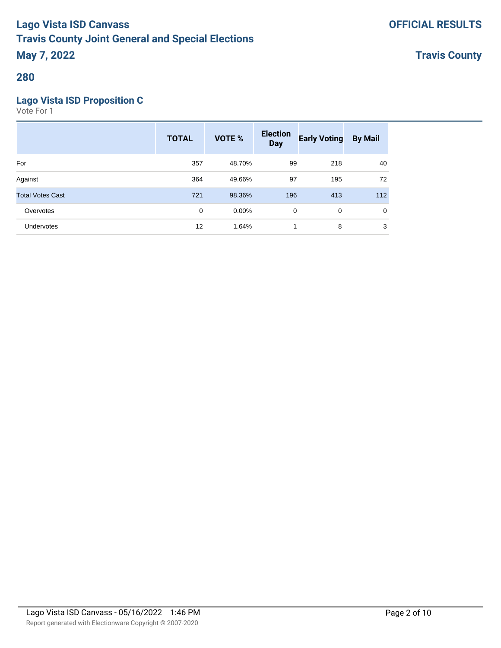**Travis County**

### **280**

### **Lago Vista ISD Proposition C**

|                         | <b>TOTAL</b> | VOTE %   | <b>Election</b><br><b>Day</b> | <b>Early Voting</b> | <b>By Mail</b> |
|-------------------------|--------------|----------|-------------------------------|---------------------|----------------|
| For                     | 357          | 48.70%   | 99                            | 218                 | 40             |
| Against                 | 364          | 49.66%   | 97                            | 195                 | 72             |
| <b>Total Votes Cast</b> | 721          | 98.36%   | 196                           | 413                 | 112            |
| Overvotes               | 0            | $0.00\%$ | 0                             | 0                   | 0              |
| Undervotes              | 12           | 1.64%    |                               | 8                   | 3              |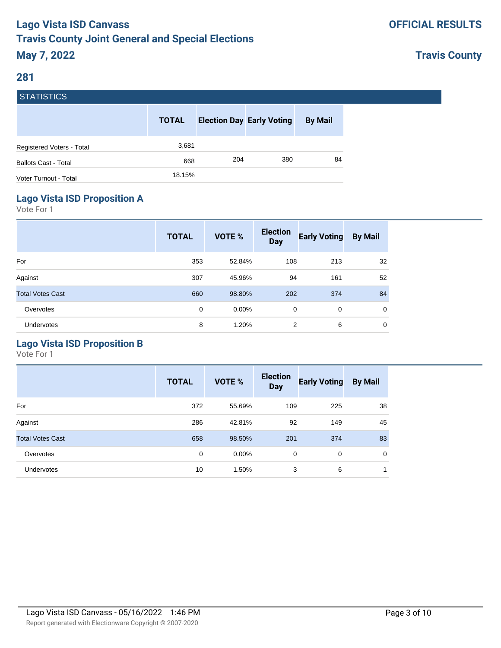## **Travis County**

#### **281**

**STATICTICS** 

| гэтанынсы                   |              |     |                                  |                |
|-----------------------------|--------------|-----|----------------------------------|----------------|
|                             | <b>TOTAL</b> |     | <b>Election Day Early Voting</b> | <b>By Mail</b> |
| Registered Voters - Total   | 3,681        |     |                                  |                |
| <b>Ballots Cast - Total</b> | 668          | 204 | 380                              | 84             |
| Voter Turnout - Total       | 18.15%       |     |                                  |                |
|                             |              |     |                                  |                |

### **Lago Vista ISD Proposition A**

Vote For 1

|                         | <b>TOTAL</b> | VOTE %   | <b>Election</b><br><b>Day</b> | <b>Early Voting</b> | <b>By Mail</b> |
|-------------------------|--------------|----------|-------------------------------|---------------------|----------------|
| For                     | 353          | 52.84%   | 108                           | 213                 | 32             |
| Against                 | 307          | 45.96%   | 94                            | 161                 | 52             |
| <b>Total Votes Cast</b> | 660          | 98.80%   | 202                           | 374                 | 84             |
| Overvotes               | $\mathbf 0$  | $0.00\%$ | $\mathbf 0$                   | $\mathbf 0$         | $\mathbf 0$    |
| Undervotes              | 8            | 1.20%    | 2                             | 6                   | $\mathbf 0$    |

## **Lago Vista ISD Proposition B**

|                         | <b>TOTAL</b> | <b>VOTE %</b> | <b>Election</b><br><b>Day</b> | <b>Early Voting</b> | <b>By Mail</b> |
|-------------------------|--------------|---------------|-------------------------------|---------------------|----------------|
| For                     | 372          | 55.69%        | 109                           | 225                 | 38             |
| Against                 | 286          | 42.81%        | 92                            | 149                 | 45             |
| <b>Total Votes Cast</b> | 658          | 98.50%        | 201                           | 374                 | 83             |
| Overvotes               | 0            | $0.00\%$      | 0                             | 0                   | $\mathbf 0$    |
| Undervotes              | 10           | 1.50%         | 3                             | 6                   | 1              |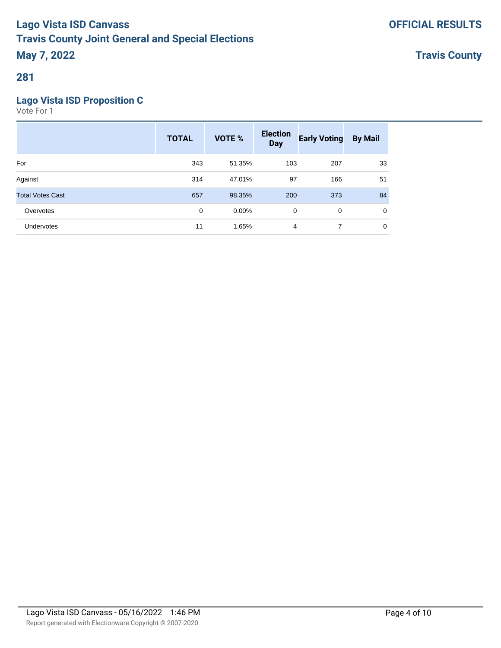**Travis County**

### **281**

### **Lago Vista ISD Proposition C**

|                         | <b>TOTAL</b> | <b>VOTE %</b> | <b>Election</b><br><b>Day</b> | <b>Early Voting</b> | <b>By Mail</b> |
|-------------------------|--------------|---------------|-------------------------------|---------------------|----------------|
| For                     | 343          | 51.35%        | 103                           | 207                 | 33             |
| Against                 | 314          | 47.01%        | 97                            | 166                 | 51             |
| <b>Total Votes Cast</b> | 657          | 98.35%        | 200                           | 373                 | 84             |
| Overvotes               | $\mathbf 0$  | $0.00\%$      | 0                             | $\mathbf 0$         | 0              |
| Undervotes              | 11           | 1.65%         | 4                             | 7                   | 0              |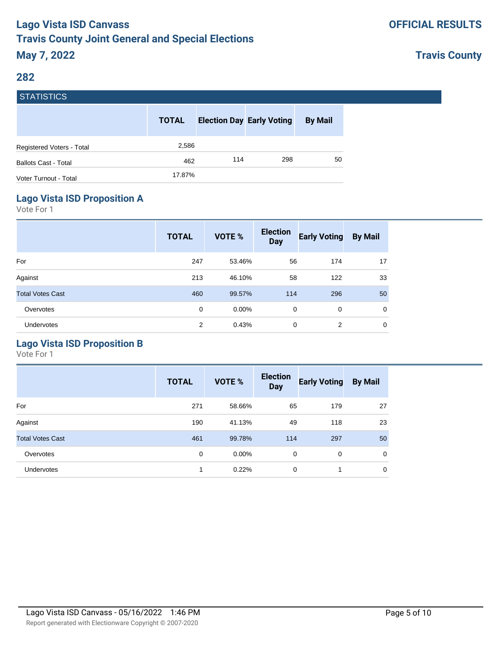## **Travis County**

#### **282**

STATISTICS

| гэтанынсы                   |              |     |                                  |                |
|-----------------------------|--------------|-----|----------------------------------|----------------|
|                             | <b>TOTAL</b> |     | <b>Election Day Early Voting</b> | <b>By Mail</b> |
| Registered Voters - Total   | 2,586        |     |                                  |                |
| <b>Ballots Cast - Total</b> | 462          | 114 | 298                              | 50             |
| Voter Turnout - Total       | 17.87%       |     |                                  |                |
|                             |              |     |                                  |                |

### **Lago Vista ISD Proposition A**

Vote For 1

|                         | <b>TOTAL</b> | VOTE %   | <b>Election</b><br><b>Day</b> | <b>Early Voting</b> | <b>By Mail</b> |
|-------------------------|--------------|----------|-------------------------------|---------------------|----------------|
| For                     | 247          | 53.46%   | 56                            | 174                 | 17             |
| Against                 | 213          | 46.10%   | 58                            | 122                 | 33             |
| <b>Total Votes Cast</b> | 460          | 99.57%   | 114                           | 296                 | 50             |
| Overvotes               | $\mathbf 0$  | $0.00\%$ | $\mathbf 0$                   | $\mathbf 0$         | $\mathbf 0$    |
| <b>Undervotes</b>       | 2            | 0.43%    | 0                             | 2                   | $\mathbf 0$    |

## **Lago Vista ISD Proposition B**

|                         | <b>TOTAL</b> | <b>VOTE %</b> | <b>Election</b><br><b>Day</b> | <b>Early Voting</b> | <b>By Mail</b> |
|-------------------------|--------------|---------------|-------------------------------|---------------------|----------------|
| For                     | 271          | 58.66%        | 65                            | 179                 | 27             |
| Against                 | 190          | 41.13%        | 49                            | 118                 | 23             |
| <b>Total Votes Cast</b> | 461          | 99.78%        | 114                           | 297                 | 50             |
| Overvotes               | 0            | $0.00\%$      | 0                             | 0                   | $\mathbf 0$    |
| <b>Undervotes</b>       | 1            | 0.22%         | 0                             | -1                  | 0              |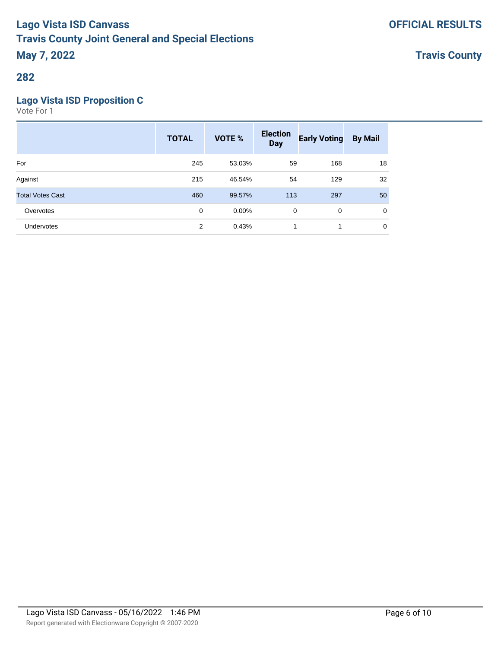**Travis County**

### **282**

### **Lago Vista ISD Proposition C**

|                         | <b>TOTAL</b> | VOTE %   | <b>Election</b><br><b>Day</b> | <b>Early Voting</b> | <b>By Mail</b> |
|-------------------------|--------------|----------|-------------------------------|---------------------|----------------|
| For                     | 245          | 53.03%   | 59                            | 168                 | 18             |
| Against                 | 215          | 46.54%   | 54                            | 129                 | 32             |
| <b>Total Votes Cast</b> | 460          | 99.57%   | 113                           | 297                 | 50             |
| Overvotes               | 0            | $0.00\%$ | 0                             | 0                   | $\mathbf 0$    |
| Undervotes              | 2            | 0.43%    | 1                             | 1                   | $\mathbf 0$    |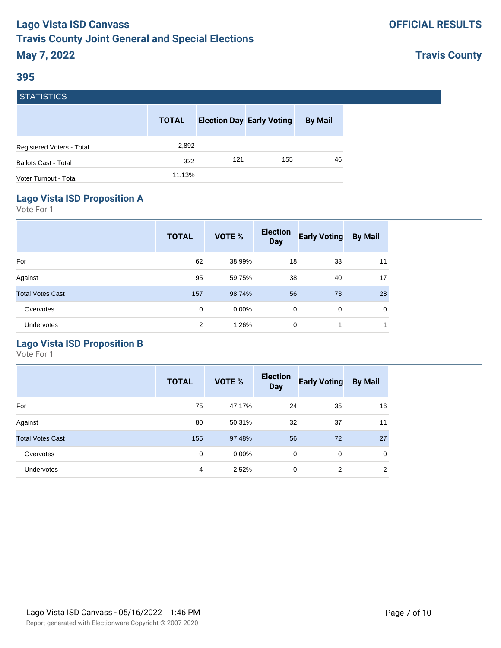## **Travis County**

#### **395**

| <b>STATISTICS</b>           |              |     |                                  |                |
|-----------------------------|--------------|-----|----------------------------------|----------------|
|                             | <b>TOTAL</b> |     | <b>Election Day Early Voting</b> | <b>By Mail</b> |
| Registered Voters - Total   | 2,892        |     |                                  |                |
| <b>Ballots Cast - Total</b> | 322          | 121 | 155                              | 46             |
| Voter Turnout - Total       | 11.13%       |     |                                  |                |
|                             |              |     |                                  |                |

### **Lago Vista ISD Proposition A**

Vote For 1

|                         | <b>TOTAL</b> | VOTE % | <b>Election</b><br><b>Day</b> | <b>Early Voting</b> | <b>By Mail</b> |
|-------------------------|--------------|--------|-------------------------------|---------------------|----------------|
| For                     | 62           | 38.99% | 18                            | 33                  | 11             |
| Against                 | 95           | 59.75% | 38                            | 40                  | 17             |
| <b>Total Votes Cast</b> | 157          | 98.74% | 56                            | 73                  | 28             |
| Overvotes               | $\mathbf 0$  | 0.00%  | $\mathbf 0$                   | $\mathbf 0$         | $\mathbf 0$    |
| Undervotes              | 2            | 1.26%  | 0                             | 1                   | 1              |

### **Lago Vista ISD Proposition B**

|                         | <b>TOTAL</b> | <b>VOTE %</b> | <b>Election</b><br><b>Day</b> | <b>Early Voting</b> | <b>By Mail</b> |
|-------------------------|--------------|---------------|-------------------------------|---------------------|----------------|
| For                     | 75           | 47.17%        | 24                            | 35                  | 16             |
| Against                 | 80           | 50.31%        | 32                            | 37                  | 11             |
| <b>Total Votes Cast</b> | 155          | 97.48%        | 56                            | 72                  | 27             |
| Overvotes               | 0            | $0.00\%$      | 0                             | 0                   | $\mathbf 0$    |
| <b>Undervotes</b>       | 4            | 2.52%         | $\mathbf 0$                   | 2                   | 2              |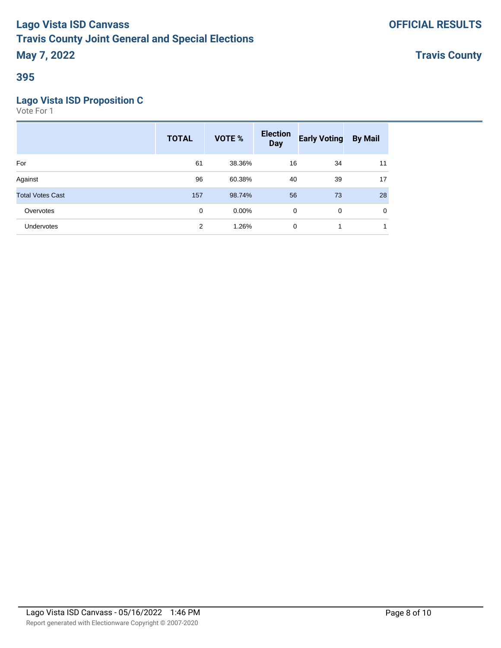**Travis County**

### **395**

### **Lago Vista ISD Proposition C**

|                         | <b>TOTAL</b>   | <b>VOTE %</b> | <b>Election</b><br><b>Day</b> | <b>Early Voting</b> | <b>By Mail</b> |
|-------------------------|----------------|---------------|-------------------------------|---------------------|----------------|
| For                     | 61             | 38.36%        | 16                            | 34                  | 11             |
| Against                 | 96             | 60.38%        | 40                            | 39                  | 17             |
| <b>Total Votes Cast</b> | 157            | 98.74%        | 56                            | 73                  | 28             |
| Overvotes               | $\mathbf 0$    | $0.00\%$      | $\mathbf 0$                   | $\mathbf 0$         | 0              |
| Undervotes              | $\overline{2}$ | 1.26%         | 0                             |                     | и              |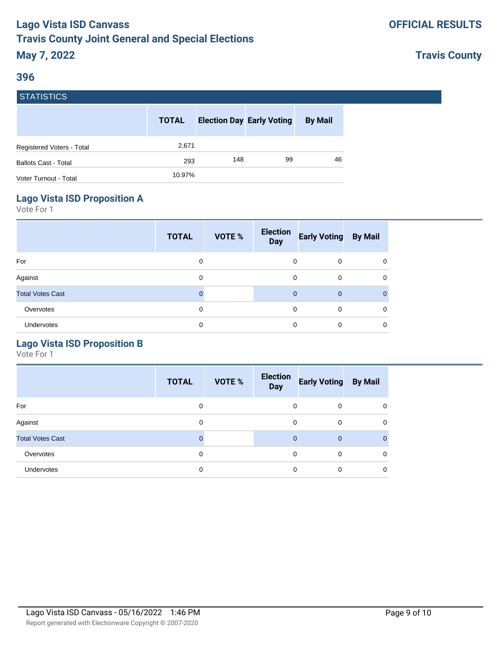### **Travis County**

#### **396**

**STATICTICS** 

| ГЭТАНЭНЬЭ                   |              |                                  |    |                |
|-----------------------------|--------------|----------------------------------|----|----------------|
|                             | <b>TOTAL</b> | <b>Election Day Early Voting</b> |    | <b>By Mail</b> |
| Registered Voters - Total   | 2,671        |                                  |    |                |
| <b>Ballots Cast - Total</b> | 293          | 148                              | 99 | 46             |
| Voter Turnout - Total       | 10.97%       |                                  |    |                |

#### **Lago Vista ISD Proposition A**

Vote For 1

|                         | <b>TOTAL</b> | VOTE % | <b>Election</b><br><b>Day</b> | <b>Early Voting</b> | <b>By Mail</b> |
|-------------------------|--------------|--------|-------------------------------|---------------------|----------------|
| For                     | 0            |        | 0                             | $\mathbf 0$         | $\mathbf 0$    |
| Against                 | 0            |        | 0                             | $\mathbf 0$         | $\mathbf 0$    |
| <b>Total Votes Cast</b> | $\Omega$     |        | $\mathbf{0}$                  | $\overline{0}$      | $\mathbf{0}$   |
| Overvotes               | 0            |        | 0                             | $\mathbf 0$         | $\mathbf 0$    |
| Undervotes              | 0            |        | $\Omega$                      | $\mathbf 0$         | $\mathbf 0$    |

### **Lago Vista ISD Proposition B**

|                         | <b>TOTAL</b> | VOTE % | <b>Election</b><br><b>Day</b> | <b>Early Voting</b> | <b>By Mail</b> |
|-------------------------|--------------|--------|-------------------------------|---------------------|----------------|
| For                     | 0            |        | 0                             | 0                   | $\mathbf 0$    |
| Against                 | 0            |        | $\Omega$                      | $\Omega$            | $\mathbf 0$    |
| <b>Total Votes Cast</b> | O            |        | $\mathbf{0}$                  | $\mathbf{0}$        | $\overline{0}$ |
| Overvotes               | 0            |        | 0                             | $\Omega$            | $\mathbf 0$    |
| Undervotes              | 0            |        | 0                             | 0                   | $\mathbf 0$    |